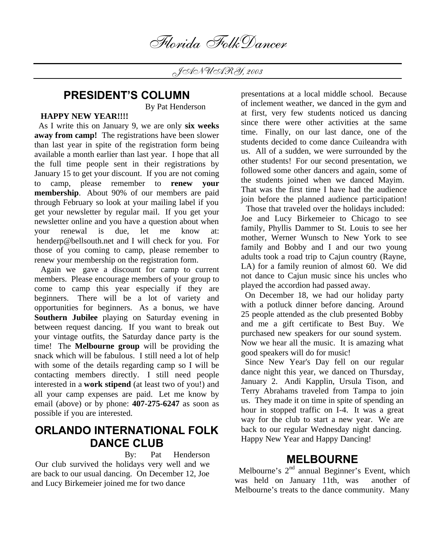JANUARY, 2003

# **PRESIDENT'S COLUMN**

By Pat Henderson

## **HAPPY NEW YEAR!!!!**

 As I write this on January 9, we are only **six weeks away from camp!** The registrations have been slower than last year in spite of the registration form being available a month earlier than last year. I hope that all the full time people sent in their registrations by January 15 to get your discount. If you are not coming to camp, please remember to **renew your membership**. About 90% of our members are paid through February so look at your mailing label if you get your newsletter by regular mail. If you get your newsletter online and you have a question about when your renewal is due, let me know at: henderp@bellsouth.net and I will check for you. For those of you coming to camp, please remember to renew your membership on the registration form.

 Again we gave a discount for camp to current members. Please encourage members of your group to come to camp this year especially if they are beginners. There will be a lot of variety and opportunities for beginners. As a bonus, we have **Southern Jubilee** playing on Saturday evening in between request dancing. If you want to break out your vintage outfits, the Saturday dance party is the time! The **Melbourne group** will be providing the snack which will be fabulous. I still need a lot of help with some of the details regarding camp so I will be contacting members directly. I still need people interested in a **work stipend** (at least two of you!) and all your camp expenses are paid. Let me know by email (above) or by phone: **407-275-6247** as soon as possible if you are interested.

## **ORLANDO INTERNATIONAL FOLK DANCE CLUB**

 By: Pat Henderson Our club survived the holidays very well and we are back to our usual dancing. On December 12, Joe and Lucy Birkemeier joined me for two dance

presentations at a local middle school. Because of inclement weather, we danced in the gym and at first, very few students noticed us dancing since there were other activities at the same time. Finally, on our last dance, one of the students decided to come dance Cuileandra with us. All of a sudden, we were surrounded by the other students! For our second presentation, we followed some other dancers and again, some of the students joined when we danced Mayim. That was the first time I have had the audience join before the planned audience participation!

 Those that traveled over the holidays included: Joe and Lucy Birkemeier to Chicago to see family, Phyllis Dammer to St. Louis to see her mother, Werner Wunsch to New York to see family and Bobby and I and our two young adults took a road trip to Cajun country (Rayne, LA) for a family reunion of almost 60. We did not dance to Cajun music since his uncles who played the accordion had passed away.

 On December 18, we had our holiday party with a potluck dinner before dancing. Around 25 people attended as the club presented Bobby and me a gift certificate to Best Buy. We purchased new speakers for our sound system. Now we hear all the music. It is amazing what good speakers will do for music!

 Since New Year's Day fell on our regular dance night this year, we danced on Thursday, January 2. Andi Kapplin, Ursula Tison, and Terry Abrahams traveled from Tampa to join us. They made it on time in spite of spending an hour in stopped traffic on I-4. It was a great way for the club to start a new year. We are back to our regular Wednesday night dancing. Happy New Year and Happy Dancing!

## **MELBOURNE**

Melbourne's  $2<sup>nd</sup>$  annual Beginner's Event, which was held on January 11th, was another of Melbourne's treats to the dance community. Many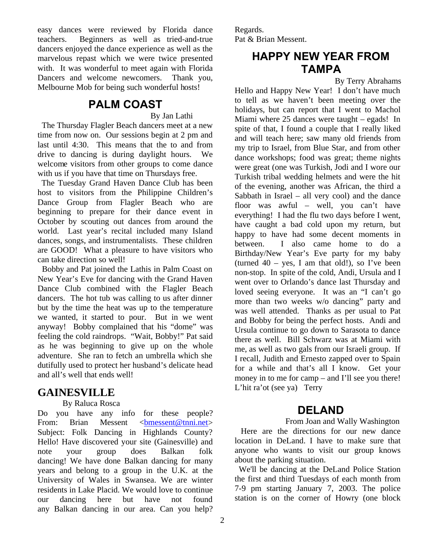easy dances were reviewed by Florida dance teachers. Beginners as well as tried-and-true dancers enjoyed the dance experience as well as the marvelous repast which we were twice presented with. It was wonderful to meet again with Florida Dancers and welcome newcomers. Thank you, Melbourne Mob for being such wonderful hosts!

# **PALM COAST**

By Jan Lathi

 The Thursday Flagler Beach dancers meet at a new time from now on. Our sessions begin at 2 pm and last until 4:30. This means that the to and from drive to dancing is during daylight hours. We welcome visitors from other groups to come dance with us if you have that time on Thursdays free.

 The Tuesday Grand Haven Dance Club has been host to visitors from the Philippine Children's Dance Group from Flagler Beach who are beginning to prepare for their dance event in October by scouting out dances from around the world. Last year's recital included many Island dances, songs, and instrumentalists. These children are GOOD! What a pleasure to have visitors who can take direction so well!

 Bobby and Pat joined the Lathis in Palm Coast on New Year's Eve for dancing with the Grand Haven Dance Club combined with the Flagler Beach dancers. The hot tub was calling to us after dinner but by the time the heat was up to the temperature we wanted, it started to pour. But in we went anyway! Bobby complained that his "dome" was feeling the cold raindrops. "Wait, Bobby!" Pat said as he was beginning to give up on the whole adventure. She ran to fetch an umbrella which she dutifully used to protect her husband's delicate head and all's well that ends well!

## **GAINESVILLE**

### By Raluca Rosca

Do you have any info for these people? From: Brian Messent <br/> <br/>bmessent@tnni.net> Subject: Folk Dancing in Highlands County? Hello! Have discovered your site (Gainesville) and note your group does Balkan folk dancing! We have done Balkan dancing for many years and belong to a group in the U.K. at the University of Wales in Swansea. We are winter residents in Lake Placid. We would love to continue our dancing here but have not found any Balkan dancing in our area. Can you help?

Regards. Pat & Brian Messent.

# **HAPPY NEW YEAR FROM TAMPA**

By Terry Abrahams

Hello and Happy New Year! I don't have much to tell as we haven't been meeting over the holidays, but can report that I went to Machol Miami where 25 dances were taught – egads! In spite of that, I found a couple that I really liked and will teach here; saw many old friends from my trip to Israel, from Blue Star, and from other dance workshops; food was great; theme nights were great (one was Turkish, Jodi and I wore our Turkish tribal wedding helmets and were the hit of the evening, another was African, the third a Sabbath in Israel – all very cool) and the dance floor was awful – well, you can't have everything! I had the flu two days before I went, have caught a bad cold upon my return, but happy to have had some decent moments in between. I also came home to do a Birthday/New Year's Eve party for my baby (turned  $40 - \text{yes}$ , I am that old!), so I've been non-stop. In spite of the cold, Andi, Ursula and I went over to Orlando's dance last Thursday and loved seeing everyone. It was an "I can't go more than two weeks w/o dancing" party and was well attended. Thanks as per usual to Pat and Bobby for being the perfect hosts. Andi and Ursula continue to go down to Sarasota to dance there as well. Bill Schwarz was at Miami with me, as well as two gals from our Israeli group. If I recall, Judith and Ernesto zapped over to Spain for a while and that's all I know. Get your money in to me for camp – and I'll see you there! L'hit ra'ot (see ya) Terry

# **DELAND**

From Joan and Wally Washington

 Here are the directions for our new dance location in DeLand. I have to make sure that anyone who wants to visit our group knows about the parking situation.

 We'll be dancing at the DeLand Police Station the first and third Tuesdays of each month from 7-9 pm starting January 7, 2003. The police station is on the corner of Howry (one block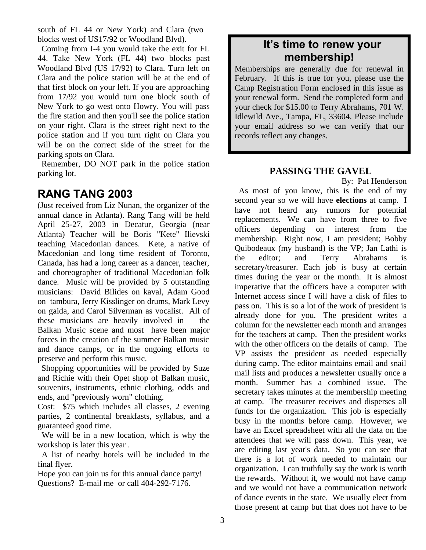south of FL 44 or New York) and Clara (two blocks west of US17/92 or Woodland Blvd).

 Coming from I-4 you would take the exit for FL 44. Take New York (FL 44) two blocks past Woodland Blvd (US 17/92) to Clara. Turn left on Clara and the police station will be at the end of that first block on your left. If you are approaching from 17/92 you would turn one block south of New York to go west onto Howry. You will pass the fire station and then you'll see the police station on your right. Clara is the street right next to the police station and if you turn right on Clara you will be on the correct side of the street for the parking spots on Clara.

 Remember, DO NOT park in the police station parking lot.

# **RANG TANG 2003**

(Just received from Liz Nunan, the organizer of the annual dance in Atlanta). Rang Tang will be held April 25-27, 2003 in Decatur, Georgia (near Atlanta) Teacher will be Boris "Kete" Ilievski teaching Macedonian dances. Kete, a native of Macedonian and long time resident of Toronto, Canada, has had a long career as a dancer, teacher, and choreographer of traditional Macedonian folk dance. Music will be provided by 5 outstanding musicians: David Bilides on kaval, Adam Good on tambura, Jerry Kisslinger on drums, Mark Levy on gaida, and Carol Silverman as vocalist. All of these musicians are heavily involved in the Balkan Music scene and most have been major forces in the creation of the summer Balkan music and dance camps, or in the ongoing efforts to preserve and perform this music.

 Shopping opportunities will be provided by Suze and Richie with their Opet shop of Balkan music, souvenirs, instruments, ethnic clothing, odds and ends, and "previously worn" clothing.

Cost: \$75 which includes all classes, 2 evening parties, 2 continental breakfasts, syllabus, and a guaranteed good time.

 We will be in a new location, which is why the workshop is later this year .

 A list of nearby hotels will be included in the final flyer.

Hope you can join us for this annual dance party! Questions? E-mail me or call 404-292-7176.

## **It's time to renew your membership!**

Memberships are generally due for renewal in February. If this is true for you, please use the Camp Registration Form enclosed in this issue as your renewal form. Send the completed form and your check for \$15.00 to Terry Abrahams, 701 W. Idlewild Ave., Tampa, FL, 33604. Please include your email address so we can verify that our records reflect any changes.

## **PASSING THE GAVEL**

By: Pat Henderson

As most of you know, this is the end of my second year so we will have **elections** at camp. I have not heard any rumors for potential replacements. We can have from three to five officers depending on interest from the membership. Right now, I am president; Bobby Quibodeaux (my husband) is the VP; Jan Lathi is the editor; and Terry Abrahams is secretary/treasurer. Each job is busy at certain times during the year or the month. It is almost imperative that the officers have a computer with Internet access since I will have a disk of files to pass on. This is so a lot of the work of president is already done for you. The president writes a column for the newsletter each month and arranges for the teachers at camp. Then the president works with the other officers on the details of camp. The VP assists the president as needed especially during camp. The editor maintains email and snail mail lists and produces a newsletter usually once a month. Summer has a combined issue. The secretary takes minutes at the membership meeting at camp. The treasurer receives and disperses all funds for the organization. This job is especially busy in the months before camp. However, we have an Excel spreadsheet with all the data on the attendees that we will pass down. This year, we are editing last year's data. So you can see that there is a lot of work needed to maintain our organization. I can truthfully say the work is worth the rewards. Without it, we would not have camp and we would not have a communication network of dance events in the state. We usually elect from those present at camp but that does not have to be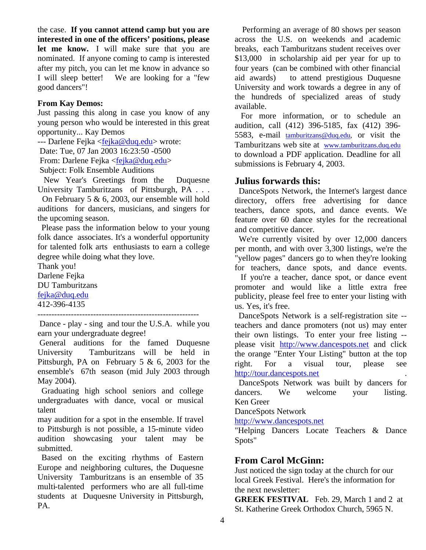the case. **If you cannot attend camp but you are interested in one of the officers' positions, please let me know.** I will make sure that you are nominated. If anyone coming to camp is interested after my pitch, you can let me know in advance so I will sleep better! We are looking for a "few good dancers"!

### **From Kay Demos:**

Just passing this along in case you know of any young person who would be interested in this great opportunity... Kay Demos

--- Darlene Fejka <fejka@duq.edu> wrote:

Date: Tue, 07 Jan 2003 16:23:50 -0500

From: Darlene Fejka <fejka@duq.edu>

Subject: Folk Ensemble Auditions

 New Year's Greetings from the Duquesne University Tamburitzans of Pittsburgh, PA . . .

 On February 5 & 6, 2003, our ensemble will hold auditions for dancers, musicians, and singers for the upcoming season.

 Please pass the information below to your young folk dance associates. It's a wonderful opportunity for talented folk arts enthusiasts to earn a college degree while doing what they love.

Thank you! Darlene Fejka DU Tamburitzans fejka@duq.edu 412-396-4135

----------------------------------------------------------

 Dance - play - sing and tour the U.S.A. while you earn your undergraduate degree!

 General auditions for the famed Duquesne University Tamburitzans will be held in Pittsburgh, PA on February 5 & 6, 2003 for the ensemble's 67th season (mid July 2003 through May 2004).

 Graduating high school seniors and college undergraduates with dance, vocal or musical talent

may audition for a spot in the ensemble. If travel to Pittsburgh is not possible, a 15-minute video audition showcasing your talent may be submitted.

 Based on the exciting rhythms of Eastern Europe and neighboring cultures, the Duquesne University Tamburitzans is an ensemble of 35 multi-talented performers who are all full-time students at Duquesne University in Pittsburgh, PA.

 Performing an average of 80 shows per season across the U.S. on weekends and academic breaks, each Tamburitzans student receives over \$13,000 in scholarship aid per year for up to four years (can be combined with other financial aid awards) to attend prestigious Duquesne University and work towards a degree in any of the hundreds of specialized areas of study available.

 For more information, or to schedule an audition, call (412) 396-5185, fax (412) 396- 5583, e-mail tamburitzans@duq.edu, or visit the Tamburitzans web site at www.tamburitzans.duq.edu to download a PDF application. Deadline for all submissions is February 4, 2003.

## **Julius forwards this:**

DanceSpots Network, the Internet's largest dance directory, offers free advertising for dance teachers, dance spots, and dance events. We feature over 60 dance styles for the recreational and competitive dancer.

 We're currently visited by over 12,000 dancers per month, and with over 3,300 listings, we're the "yellow pages" dancers go to when they're looking for teachers, dance spots, and dance events.

 If you're a teacher, dance spot, or dance event promoter and would like a little extra free publicity, please feel free to enter your listing with us. Yes, it's free.

 DanceSpots Network is a self-registration site - teachers and dance promoters (not us) may enter their own listings. To enter your free listing - please visit http://www.dancespots.net and click the orange "Enter Your Listing" button at the top right. For a visual tour, please see http://tour.dancespots.net .

 DanceSpots Network was built by dancers for dancers. We welcome your listing. Ken Greer

DanceSpots Network

http://www.dancespots.net

"Helping Dancers Locate Teachers & Dance Spots"

### **From Carol McGinn:**

Just noticed the sign today at the church for our local Greek Festival. Here's the information for the next newsletter:

**GREEK FESTIVAL** Feb. 29, March 1 and 2 at St. Katherine Greek Orthodox Church, 5965 N.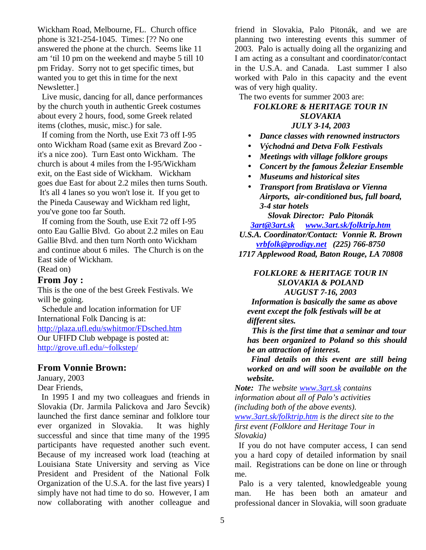Wickham Road, Melbourne, FL. Church office phone is 321-254-1045. Times: [?? No one answered the phone at the church. Seems like 11 am 'til 10 pm on the weekend and maybe 5 till 10 pm Friday. Sorry not to get specific times, but wanted you to get this in time for the next Newsletter.]

 Live music, dancing for all, dance performances by the church youth in authentic Greek costumes about every 2 hours, food, some Greek related items (clothes, music, misc.) for sale.

 If coming from the North, use Exit 73 off I-95 onto Wickham Road (same exit as Brevard Zoo it's a nice zoo). Turn East onto Wickham. The church is about 4 miles from the I-95/Wickham exit, on the East side of Wickham. Wickham goes due East for about 2.2 miles then turns South. It's all 4 lanes so you won't lose it. If you get to the Pineda Causeway and Wickham red light, you've gone too far South.

 If coming from the South, use Exit 72 off I-95 onto Eau Gallie Blvd. Go about 2.2 miles on Eau Gallie Blvd. and then turn North onto Wickham and continue about 6 miles. The Church is on the East side of Wickham.

(Read on)

## **From Joy :**

This is the one of the best Greek Festivals. We will be going.

 Schedule and location information for UF International Folk Dancing is at: http://plaza.ufl.edu/swhitmor/FDsched.htm Our UFIFD Club webpage is posted at: http://grove.ufl.edu/~folkstep/

## **From Vonnie Brown:**

January, 2003 Dear Friends,

 In 1995 I and my two colleagues and friends in Slovakia (Dr. Jarmila Palickova and Jaro Ševcik) launched the first dance seminar and folklore tour ever organized in Slovakia. It was highly successful and since that time many of the 1995 participants have requested another such event. Because of my increased work load (teaching at Louisiana State University and serving as Vice President and President of the National Folk Organization of the U.S.A. for the last five years) I simply have not had time to do so. However, I am now collaborating with another colleague and friend in Slovakia, Palo Pitonák, and we are planning two interesting events this summer of 2003. Palo is actually doing all the organizing and I am acting as a consultant and coordinator/contact in the U.S.A. and Canada. Last summer I also worked with Palo in this capacity and the event was of very high quality.

The two events for summer 2003 are:

#### *FOLKLORE & HERITAGE TOUR IN SLOVAKIA JULY 3-14, 2003*

- 
- *Dance classes with renowned instructors*
- *Východná and Detva Folk Festivals*
- *Meetings with village folklore groups*
- *Concert by the famous Železiar Ensemble*
- *Museums and historical sites*
- *Transport from Bratislava or Vienna Airports, air-conditioned bus, full board, 3-4 star hotels*

*Slovak Director: Palo Pitonák 3art@3art.sk www.3art.sk/folktrip.htm*

*U.S.A. Coordinator/Contact: Vonnie R. Brown vrbfolk@prodigy.net (225) 766-8750*

*1717 Applewood Road, Baton Rouge, LA 70808*

#### *FOLKLORE & HERITAGE TOUR IN SLOVAKIA & POLAND AUGUST 7-16, 2003*

 *Information is basically the same as above event except the folk festivals will be at different sites.*

 *This is the first time that a seminar and tour has been organized to Poland so this should be an attraction of interest.*

 *Final details on this event are still being worked on and will soon be available on the website.*

*Note: The website www.3art.sk contains information about all of Palo's activities (including both of the above events). www.3art.sk/folktrip.htm is the direct site to the first event (Folklore and Heritage Tour in Slovakia)*

 If you do not have computer access, I can send you a hard copy of detailed information by snail mail. Registrations can be done on line or through me.

 Palo is a very talented, knowledgeable young man. He has been both an amateur and professional dancer in Slovakia, will soon graduate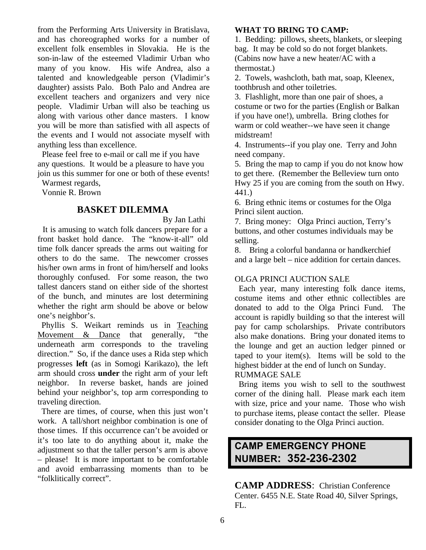from the Performing Arts University in Bratislava, and has choreographed works for a number of excellent folk ensembles in Slovakia. He is the son-in-law of the esteemed Vladimir Urban who many of you know. His wife Andrea, also a talented and knowledgeable person (Vladimir's daughter) assists Palo. Both Palo and Andrea are excellent teachers and organizers and very nice people. Vladimir Urban will also be teaching us along with various other dance masters. I know you will be more than satisfied with all aspects of the events and I would not associate myself with anything less than excellence.

 Please feel free to e-mail or call me if you have any questions. It would be a pleasure to have you join us this summer for one or both of these events!

Warmest regards,

Vonnie R. Brown

## **BASKET DILEMMA**

By Jan Lathi

 It is amusing to watch folk dancers prepare for a front basket hold dance. The "know-it-all" old time folk dancer spreads the arms out waiting for others to do the same. The newcomer crosses his/her own arms in front of him/herself and looks thoroughly confused. For some reason, the two tallest dancers stand on either side of the shortest of the bunch, and minutes are lost determining whether the right arm should be above or below one's neighbor's.

 Phyllis S. Weikart reminds us in Teaching Movement & Dance that generally, "the underneath arm corresponds to the traveling direction." So, if the dance uses a Rida step which progresses **left** (as in Somogi Karikazo), the left arm should cross **under** the right arm of your left neighbor. In reverse basket, hands are joined behind your neighbor's, top arm corresponding to traveling direction.

 There are times, of course, when this just won't work. A tall/short neighbor combination is one of those times. If this occurrence can't be avoided or it's too late to do anything about it, make the adjustment so that the taller person's arm is above – please! It is more important to be comfortable and avoid embarrassing moments than to be "folklitically correct".

## **WHAT TO BRING TO CAMP:**

1. Bedding: pillows, sheets, blankets, or sleeping bag. It may be cold so do not forget blankets. (Cabins now have a new heater/AC with a thermostat.)

2. Towels, washcloth, bath mat, soap, Kleenex, toothbrush and other toiletries.

3. Flashlight, more than one pair of shoes, a costume or two for the parties (English or Balkan if you have one!), umbrella. Bring clothes for warm or cold weather--we have seen it change midstream!

4. Instruments--if you play one. Terry and John need company.

5. Bring the map to camp if you do not know how to get there. (Remember the Belleview turn onto Hwy 25 if you are coming from the south on Hwy. 441.)

6. Bring ethnic items or costumes for the Olga Princi silent auction.

7. Bring money: Olga Princi auction, Terry's buttons, and other costumes individuals may be selling.

8. Bring a colorful bandanna or handkerchief and a large belt – nice addition for certain dances.

## OLGA PRINCI AUCTION SALE

 Each year, many interesting folk dance items, costume items and other ethnic collectibles are donated to add to the Olga Princi Fund. The account is rapidly building so that the interest will pay for camp scholarships. Private contributors also make donations. Bring your donated items to the lounge and get an auction ledger pinned or taped to your item(s). Items will be sold to the highest bidder at the end of lunch on Sunday. RUMMAGE SALE

 Bring items you wish to sell to the southwest corner of the dining hall. Please mark each item with size, price and your name. Those who wish to purchase items, please contact the seller. Please consider donating to the Olga Princi auction.

# **CAMP EMERGENCY PHONE NUMBER: 352-236-2302**

**CAMP ADDRESS**: Christian Conference Center. 6455 N.E. State Road 40, Silver Springs, FL.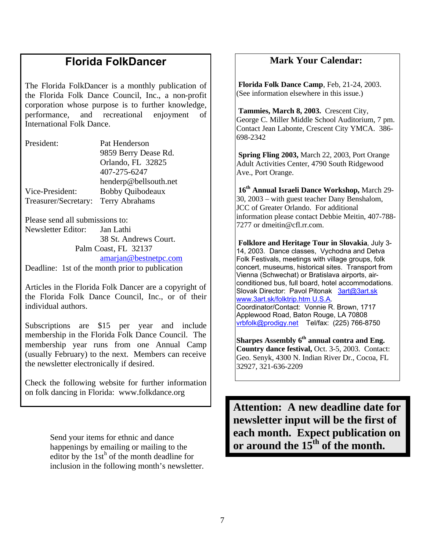# **Florida FolkDancer**

The Florida FolkDancer is a monthly publication of the Florida Folk Dance Council, Inc., a non-profit corporation whose purpose is to further knowledge, performance, and recreational enjoyment of International Folk Dance.

President: Pat Henderson 9859 Berry Dease Rd. Orlando, FL 32825 407-275-6247 henderp@bellsouth.net Vice-President: Bobby Quibodeaux Treasurer/Secretary: Terry Abrahams

Please send all submissions to: Newsletter Editor: Jan Lathi

38 St. Andrews Court. Palm Coast, FL 32137 amarjan@bestnetpc.com

Deadline: 1st of the month prior to publication

Articles in the Florida Folk Dancer are a copyright of the Florida Folk Dance Council, Inc., or of their individual authors.

Subscriptions are \$15 per year and include membership in the Florida Folk Dance Council. The membership year runs from one Annual Camp (usually February) to the next. Members can receive the newsletter electronically if desired.

Check the following website for further information on folk dancing in Florida: www.folkdance.org

> Send your items for ethnic and dance happenings by emailing or mailing to the editor by the  $1st<sup>h</sup>$  of the month deadline for inclusion in the following month's newsletter.

## **Mark Your Calendar:**

 **Florida Folk Dance Camp**, Feb, 21-24, 2003. (See information elsewhere in this issue.)

 **Tammies, March 8, 2003.** Crescent City, George C. Miller Middle School Auditorium, 7 pm. Contact Jean Labonte, Crescent City YMCA. 386- 698-2342

 **Spring Fling 2003,** March 22, 2003, Port Orange Adult Activities Center, 4790 South Ridgewood Ave., Port Orange.

 **16th Annual Israeli Dance Workshop,** March 29- 30, 2003 – with guest teacher Dany Benshalom, JCC of Greater Orlando. For additional information please contact Debbie Meitin, 407-788- 7277 or dmeitin@cfl.rr.com.

 **Folklore and Heritage Tour in Slovakia**, July 3- 14, 2003. Dance classes, Vychodna and Detva Folk Festivals, meetings with village groups, folk concert, museums, historical sites. Transport from Vienna (Schwechat) or Bratislava airports, airconditioned bus, full board, hotel accommodations. Slovak Director: Pavol Pitonak 3art@3art.sk www.3art.sk/folktrip.htm U.S.A. Coordinator/Contact: Vonnie R. Brown, 1717 Applewood Road, Baton Rouge, LA 70808 vrbfolk@prodigy.net Tel/fax: (225) 766-8750

**Sharpes Assembly 6th annual contra and Eng. Country dance festival,** Oct. 3-5, 2003. Contact: Geo. Senyk, 4300 N. Indian River Dr., Cocoa, FL 32927, 321-636-2209

**Attention: A new deadline date for newsletter input will be the first of each month. Expect publication on or around the 15th of the month.**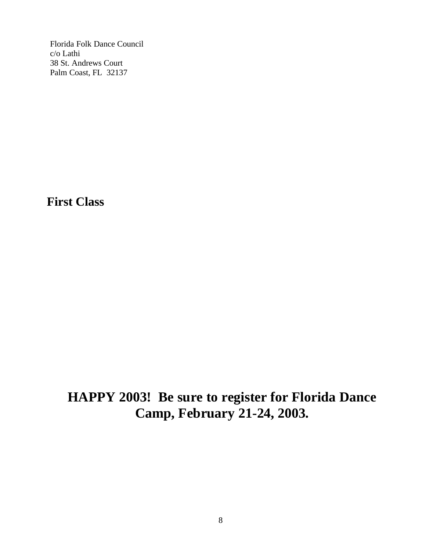Florida Folk Dance Council c/o Lathi 38 St. Andrews Court Palm Coast, FL 32137

**First Class**

# **HAPPY 2003! Be sure to register for Florida Dance Camp, February 21-24, 2003.**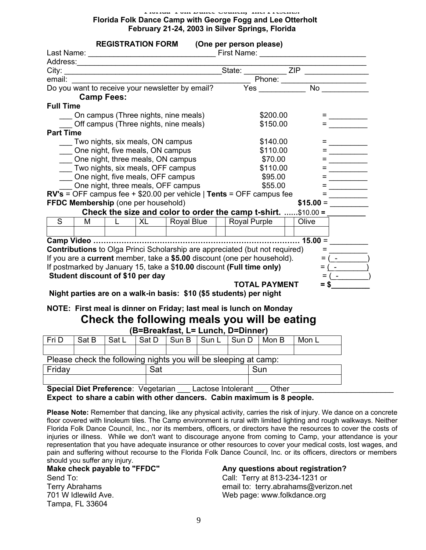#### **Florida Folk Dance Council, Inc. Presents: Florida Folk Dance Camp with George Fogg and Lee Otterholt February 21-24, 2003 in Silver Springs, Florida**

|                                       |                                      | <b>REGISTRATION FORM</b> |           |                                                            |          | (One per person please)                                                            |  |                  |                    |                          |
|---------------------------------------|--------------------------------------|--------------------------|-----------|------------------------------------------------------------|----------|------------------------------------------------------------------------------------|--|------------------|--------------------|--------------------------|
|                                       |                                      |                          |           |                                                            |          |                                                                                    |  |                  |                    |                          |
|                                       |                                      |                          |           |                                                            |          |                                                                                    |  |                  |                    |                          |
|                                       |                                      |                          |           |                                                            |          |                                                                                    |  |                  |                    |                          |
|                                       |                                      |                          |           | email:<br>Do you want to receive your newsletter by email? |          |                                                                                    |  |                  |                    |                          |
|                                       |                                      |                          |           |                                                            |          |                                                                                    |  |                  |                    |                          |
|                                       | <b>Camp Fees:</b>                    |                          |           |                                                            |          |                                                                                    |  |                  |                    |                          |
| <b>Full Time</b>                      |                                      |                          |           |                                                            |          |                                                                                    |  |                  |                    |                          |
|                                       | On campus (Three nights, nine meals) |                          |           |                                                            | \$200.00 |                                                                                    |  |                  |                    |                          |
| Off campus (Three nights, nine meals) |                                      |                          |           |                                                            |          | \$150.00                                                                           |  |                  |                    |                          |
| <b>Part Time</b>                      |                                      |                          |           |                                                            |          |                                                                                    |  |                  |                    |                          |
|                                       | Two nights, six meals, ON campus     |                          |           |                                                            |          | \$140.00                                                                           |  |                  |                    |                          |
| One night, five meals, ON campus      |                                      |                          |           |                                                            |          | \$110.00                                                                           |  |                  |                    |                          |
| One night, three meals, ON campus     |                                      |                          |           |                                                            |          | \$70.00                                                                            |  |                  |                    |                          |
| Two nights, six meals, OFF campus     |                                      |                          |           |                                                            |          | \$110.00                                                                           |  |                  |                    |                          |
| One night, five meals, OFF campus     |                                      |                          |           |                                                            |          | \$95.00                                                                            |  |                  |                    |                          |
|                                       |                                      |                          |           | One night, three meals, OFF campus                         |          | \$55.00                                                                            |  |                  |                    |                          |
|                                       |                                      |                          |           |                                                            |          | $RV's = OFF$ campus fee + \$20.00 per vehicle   Tents = OFF campus fee             |  |                  | =                  |                          |
|                                       | FFDC Membership (one per household)  |                          |           |                                                            |          |                                                                                    |  | $$15.00 =$       |                    |                          |
|                                       |                                      |                          |           |                                                            |          | Check the size and color to order the camp t-shirt. \$10.00 =                      |  |                  |                    |                          |
| S                                     | М                                    | $\mathbf{L}$             | <b>XL</b> | Royal Blue                                                 |          | Royal Purple                                                                       |  | Olive            |                    |                          |
|                                       |                                      |                          |           |                                                            |          |                                                                                    |  |                  |                    |                          |
|                                       |                                      |                          |           |                                                            |          |                                                                                    |  | $\ldots$ 15.00 = |                    |                          |
|                                       |                                      |                          |           |                                                            |          | <b>Contributions</b> to Olga Princi Scholarship are appreciated (but not required) |  |                  | $=$                |                          |
|                                       |                                      |                          |           |                                                            |          | If you are a current member, take a \$5.00 discount (one per household).           |  |                  | $=$                |                          |
|                                       |                                      |                          |           |                                                            |          | If postmarked by January 15, take a \$10.00 discount (Full time only)              |  |                  | $=$ $\overline{ }$ | $\overline{\phantom{0}}$ |
|                                       | Student discount of \$10 per day     |                          |           |                                                            |          |                                                                                    |  |                  |                    |                          |
|                                       |                                      |                          |           |                                                            |          | <b>TOTAL PAYMENT</b>                                                               |  |                  | $=$ \$             |                          |
|                                       |                                      |                          |           |                                                            |          | Night parties are on a walk-in basis: \$10 (\$5 students) per night                |  |                  |                    |                          |
|                                       |                                      |                          |           |                                                            |          |                                                                                    |  |                  |                    |                          |
|                                       |                                      |                          |           |                                                            |          | NOTE: First meal is dinner on Friday; last meal is lunch on Monday                 |  |                  |                    |                          |
|                                       |                                      |                          |           |                                                            |          | Check the following meals you will be eating                                       |  |                  |                    |                          |
|                                       |                                      |                          |           | (B=Breakfast, L= Lunch, D=Dinner)                          |          |                                                                                    |  |                  |                    |                          |
| $Fin$ $D$                             | Sat R                                | SatI                     |           |                                                            |          | Sat D Sun B Sun L Sun D Mon B                                                      |  | $M \cap L$       |                    |                          |

| Fri D                                                           | Sat B | Sat L | Sat D | l Sun B | Sun L | Sun D   Mon B |     | Mon L |  |  |
|-----------------------------------------------------------------|-------|-------|-------|---------|-------|---------------|-----|-------|--|--|
|                                                                 |       |       |       |         |       |               |     |       |  |  |
| Please check the following nights you will be sleeping at camp: |       |       |       |         |       |               |     |       |  |  |
| Fridav                                                          |       |       | Sat   |         |       |               | Sun |       |  |  |
|                                                                 |       |       |       |         |       |               |     |       |  |  |

**Special Diet Preference**: Vegetarian \_\_\_\_ Lactose Intolerant \_\_\_\_ Other \_ **Expect to share a cabin with other dancers. Cabin maximum is 8 people.** 

**Please Note:** Remember that dancing, like any physical activity, carries the risk of injury. We dance on a concrete floor covered with linoleum tiles. The Camp environment is rural with limited lighting and rough walkways. Neither Florida Folk Dance Council, Inc., nor its members, officers, or directors have the resources to cover the costs of injuries or illness. While we don't want to discourage anyone from coming to Camp, your attendance is your representation that you have adequate insurance or other resources to cover your medical costs, lost wages, and pain and suffering without recourse to the Florida Folk Dance Council, Inc. or its officers, directors or members

should you suffer any injury.<br>Make check payable to "FFDC" Send To: Call: Terry at 813-234-1231 or 701 W Idlewild Ave. The Contract of the Web page: www.folkdance.org Tampa, FL 33604

### Any questions about registration?

Terry Abrahams email to: terry.abrahams@verizon.net